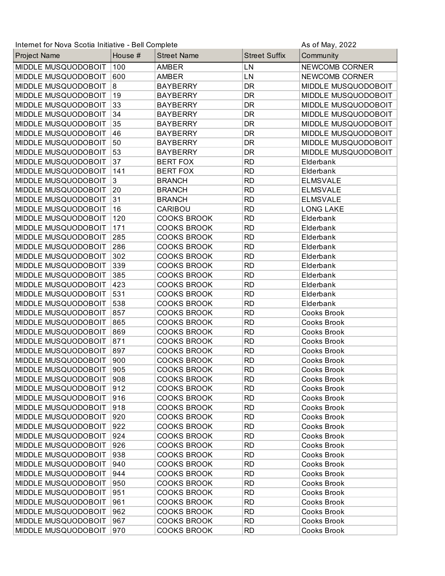| Internet for Nova Scotia Initiative - Bell Complete<br>As of May, 2022 |         |                    |                      |                     |
|------------------------------------------------------------------------|---------|--------------------|----------------------|---------------------|
| Project Name                                                           | House # | <b>Street Name</b> | <b>Street Suffix</b> | Community           |
| MIDDLE MUSQUODOBOIT                                                    | 100     | <b>AMBER</b>       | LN                   | NEWCOMB CORNER      |
| MIDDLE MUSQUODOBOIT                                                    | 600     | <b>AMBER</b>       | LN                   | NEWCOMB CORNER      |
| MIDDLE MUSQUODOBOIT                                                    | 8       | <b>BAYBERRY</b>    | <b>DR</b>            | MIDDLE MUSQUODOBOIT |
| MIDDLE MUSQUODOBOIT                                                    | 19      | <b>BAYBERRY</b>    | DR                   | MIDDLE MUSQUODOBOIT |
| MIDDLE MUSQUODOBOIT                                                    | 33      | <b>BAYBERRY</b>    | DR                   | MIDDLE MUSQUODOBOIT |
| MIDDLE MUSQUODOBOIT                                                    | 34      | <b>BAYBERRY</b>    | DR                   | MIDDLE MUSQUODOBOIT |
| MIDDLE MUSQUODOBOIT                                                    | 35      | <b>BAYBERRY</b>    | DR                   | MIDDLE MUSQUODOBOIT |
| MIDDLE MUSQUODOBOIT                                                    | 46      | <b>BAYBERRY</b>    | <b>DR</b>            | MIDDLE MUSQUODOBOIT |
| MIDDLE MUSQUODOBOIT                                                    | 50      | <b>BAYBERRY</b>    | <b>DR</b>            | MIDDLE MUSQUODOBOIT |
| MIDDLE MUSQUODOBOIT                                                    | 53      | <b>BAYBERRY</b>    | DR                   | MIDDLE MUSQUODOBOIT |
| MIDDLE MUSQUODOBOIT                                                    | 37      | <b>BERT FOX</b>    | <b>RD</b>            | Elderbank           |
| MIDDLE MUSQUODOBOIT                                                    | 141     | <b>BERT FOX</b>    | <b>RD</b>            | Elderbank           |
| MIDDLE MUSQUODOBOIT                                                    | 3       | <b>BRANCH</b>      | <b>RD</b>            | <b>ELMSVALE</b>     |
| MIDDLE MUSQUODOBOIT                                                    | 20      | <b>BRANCH</b>      | <b>RD</b>            | <b>ELMSVALE</b>     |
| MIDDLE MUSQUODOBOIT                                                    | 31      | <b>BRANCH</b>      | <b>RD</b>            | <b>ELMSVALE</b>     |
| MIDDLE MUSQUODOBOIT                                                    | 16      | CARIBOU            | <b>RD</b>            | <b>LONG LAKE</b>    |
| MIDDLE MUSQUODOBOIT                                                    | 120     | <b>COOKS BROOK</b> | <b>RD</b>            | Elderbank           |
| MIDDLE MUSQUODOBOIT                                                    | 171     | <b>COOKS BROOK</b> | <b>RD</b>            | Elderbank           |
| MIDDLE MUSQUODOBOIT                                                    | 285     | <b>COOKS BROOK</b> | <b>RD</b>            | Elderbank           |
| MIDDLE MUSQUODOBOIT                                                    | 286     | <b>COOKS BROOK</b> | <b>RD</b>            | Elderbank           |
| MIDDLE MUSQUODOBOIT                                                    | 302     | <b>COOKS BROOK</b> | <b>RD</b>            | Elderbank           |
| MIDDLE MUSQUODOBOIT                                                    | 339     | <b>COOKS BROOK</b> | <b>RD</b>            | Elderbank           |
| MIDDLE MUSQUODOBOIT                                                    | 385     | <b>COOKS BROOK</b> | <b>RD</b>            | Elderbank           |
| MIDDLE MUSQUODOBOIT                                                    | 423     | <b>COOKS BROOK</b> | <b>RD</b>            | Elderbank           |
| MIDDLE MUSQUODOBOIT                                                    | 531     | <b>COOKS BROOK</b> | <b>RD</b>            | Elderbank           |
| MIDDLE MUSQUODOBOIT                                                    | 538     | <b>COOKS BROOK</b> | <b>RD</b>            | Elderbank           |
| MIDDLE MUSQUODOBOIT                                                    | 857     | <b>COOKS BROOK</b> | <b>RD</b>            | Cooks Brook         |
| MIDDLE MUSQUODOBOIT                                                    | 865     | <b>COOKS BROOK</b> | <b>RD</b>            | Cooks Brook         |
| MIDDLE MUSQUODOBOIT                                                    | 869     | <b>COOKS BROOK</b> | <b>RD</b>            | Cooks Brook         |
| MIDDLE MUSQUODOBOIT                                                    | 871     | <b>COOKS BROOK</b> | <b>RD</b>            | Cooks Brook         |
| MIDDLE MUSQUODOBOIT                                                    | 897     | <b>COOKS BROOK</b> | <b>RD</b>            | Cooks Brook         |
| MIDDLE MUSQUODOBOIT                                                    | 900     | <b>COOKS BROOK</b> | <b>RD</b>            | Cooks Brook         |
| MIDDLE MUSQUODOBOIT                                                    | 905     | <b>COOKS BROOK</b> | <b>RD</b>            | Cooks Brook         |
| MIDDLE MUSQUODOBOIT                                                    | 908     | <b>COOKS BROOK</b> | <b>RD</b>            | <b>Cooks Brook</b>  |
| MIDDLE MUSQUODOBOIT                                                    | 912     | <b>COOKS BROOK</b> | <b>RD</b>            | <b>Cooks Brook</b>  |
| MIDDLE MUSQUODOBOIT                                                    | 916     | <b>COOKS BROOK</b> | <b>RD</b>            | Cooks Brook         |
| MIDDLE MUSQUODOBOIT                                                    | 918     | <b>COOKS BROOK</b> | <b>RD</b>            | Cooks Brook         |
| MIDDLE MUSQUODOBOIT                                                    | 920     | <b>COOKS BROOK</b> | <b>RD</b>            | <b>Cooks Brook</b>  |
| MIDDLE MUSQUODOBOIT                                                    | 922     | <b>COOKS BROOK</b> | <b>RD</b>            | Cooks Brook         |
| MIDDLE MUSQUODOBOIT                                                    | 924     | <b>COOKS BROOK</b> | <b>RD</b>            | Cooks Brook         |
| MIDDLE MUSQUODOBOIT                                                    | 926     | <b>COOKS BROOK</b> | <b>RD</b>            | Cooks Brook         |
| MIDDLE MUSQUODOBOIT                                                    | 938     | <b>COOKS BROOK</b> | <b>RD</b>            | Cooks Brook         |
| MIDDLE MUSQUODOBOIT                                                    | 940     | <b>COOKS BROOK</b> | <b>RD</b>            | Cooks Brook         |
| MIDDLE MUSQUODOBOIT                                                    | 944     | <b>COOKS BROOK</b> | <b>RD</b>            | <b>Cooks Brook</b>  |
| MIDDLE MUSQUODOBOIT                                                    | 950     | <b>COOKS BROOK</b> | <b>RD</b>            | Cooks Brook         |
| MIDDLE MUSQUODOBOIT                                                    | 951     | <b>COOKS BROOK</b> | <b>RD</b>            | Cooks Brook         |
| MIDDLE MUSQUODOBOIT                                                    | 961     | <b>COOKS BROOK</b> | <b>RD</b>            | <b>Cooks Brook</b>  |
| MIDDLE MUSQUODOBOIT                                                    | 962     | <b>COOKS BROOK</b> | <b>RD</b>            | Cooks Brook         |
| MIDDLE MUSQUODOBOIT                                                    | 967     | <b>COOKS BROOK</b> | <b>RD</b>            | Cooks Brook         |
| MIDDLE MUSQUODOBOIT                                                    | 970     | <b>COOKS BROOK</b> | <b>RD</b>            | Cooks Brook         |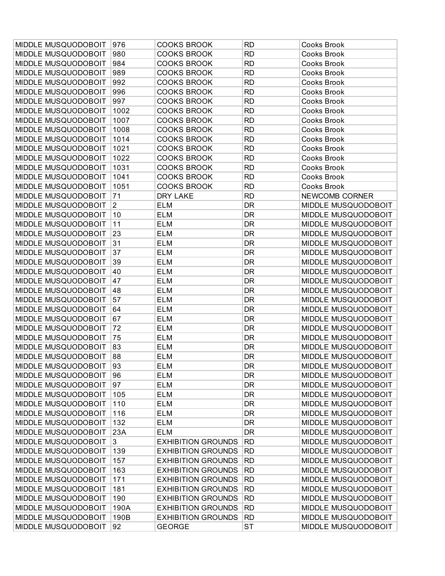| MIDDLE MUSQUODOBOIT | 976            | <b>COOKS BROOK</b>        | <b>RD</b> | Cooks Brook                |
|---------------------|----------------|---------------------------|-----------|----------------------------|
| MIDDLE MUSQUODOBOIT | 980            | <b>COOKS BROOK</b>        | <b>RD</b> | Cooks Brook                |
| MIDDLE MUSQUODOBOIT | 984            | <b>COOKS BROOK</b>        | <b>RD</b> | Cooks Brook                |
| MIDDLE MUSQUODOBOIT | 989            | <b>COOKS BROOK</b>        | <b>RD</b> | Cooks Brook                |
| MIDDLE MUSQUODOBOIT | 992            | <b>COOKS BROOK</b>        | <b>RD</b> | Cooks Brook                |
| MIDDLE MUSQUODOBOIT | 996            | <b>COOKS BROOK</b>        | <b>RD</b> | Cooks Brook                |
| MIDDLE MUSQUODOBOIT | 997            | <b>COOKS BROOK</b>        | <b>RD</b> | Cooks Brook                |
| MIDDLE MUSQUODOBOIT | 1002           | <b>COOKS BROOK</b>        | <b>RD</b> | Cooks Brook                |
| MIDDLE MUSQUODOBOIT | 1007           | <b>COOKS BROOK</b>        | <b>RD</b> | Cooks Brook                |
| MIDDLE MUSQUODOBOIT | 1008           | <b>COOKS BROOK</b>        | <b>RD</b> | <b>Cooks Brook</b>         |
| MIDDLE MUSQUODOBOIT | 1014           | <b>COOKS BROOK</b>        | <b>RD</b> | Cooks Brook                |
| MIDDLE MUSQUODOBOIT | 1021           | <b>COOKS BROOK</b>        | <b>RD</b> | Cooks Brook                |
| MIDDLE MUSQUODOBOIT | 1022           | <b>COOKS BROOK</b>        | <b>RD</b> | Cooks Brook                |
| MIDDLE MUSQUODOBOIT | 1031           | <b>COOKS BROOK</b>        | <b>RD</b> | Cooks Brook                |
| MIDDLE MUSQUODOBOIT | 1041           | <b>COOKS BROOK</b>        | <b>RD</b> | Cooks Brook                |
| MIDDLE MUSQUODOBOIT | 1051           | <b>COOKS BROOK</b>        | <b>RD</b> | Cooks Brook                |
| MIDDLE MUSQUODOBOIT | 71             | DRY LAKE                  | <b>RD</b> | NEWCOMB CORNER             |
| MIDDLE MUSQUODOBOIT | $\overline{2}$ | <b>ELM</b>                | DR        | MIDDLE MUSQUODOBOIT        |
| MIDDLE MUSQUODOBOIT | 10             | <b>ELM</b>                | DR        | MIDDLE MUSQUODOBOIT        |
| MIDDLE MUSQUODOBOIT | 11             | ELM                       | <b>DR</b> | MIDDLE MUSQUODOBOIT        |
| MIDDLE MUSQUODOBOIT | 23             | <b>ELM</b>                | DR        | MIDDLE MUSQUODOBOIT        |
| MIDDLE MUSQUODOBOIT | 31             | <b>ELM</b>                | DR        | MIDDLE MUSQUODOBOIT        |
| MIDDLE MUSQUODOBOIT | 37             | <b>ELM</b>                | DR        | MIDDLE MUSQUODOBOIT        |
| MIDDLE MUSQUODOBOIT | 39             | <b>ELM</b>                | <b>DR</b> | MIDDLE MUSQUODOBOIT        |
| MIDDLE MUSQUODOBOIT | 40             | <b>ELM</b>                | DR        | MIDDLE MUSQUODOBOIT        |
| MIDDLE MUSQUODOBOIT | 47             | <b>ELM</b>                | <b>DR</b> | MIDDLE MUSQUODOBOIT        |
| MIDDLE MUSQUODOBOIT | 48             | <b>ELM</b>                | DR        | MIDDLE MUSQUODOBOIT        |
| MIDDLE MUSQUODOBOIT | 57             | <b>ELM</b>                | DR        | MIDDLE MUSQUODOBOIT        |
| MIDDLE MUSQUODOBOIT | 64             | <b>ELM</b>                | DR        | MIDDLE MUSQUODOBOIT        |
| MIDDLE MUSQUODOBOIT | 67             | <b>ELM</b>                | <b>DR</b> | MIDDLE MUSQUODOBOIT        |
| MIDDLE MUSQUODOBOIT | 72             | <b>ELM</b>                | DR        | MIDDLE MUSQUODOBOIT        |
| MIDDLE MUSQUODOBOIT | 75             | <b>ELM</b>                | <b>DR</b> | MIDDLE MUSQUODOBOIT        |
| MIDDLE MUSQUODOBOIT | 83             | <b>ELM</b>                | DR        | MIDDLE MUSQUODOBOIT        |
| MIDDLE MUSQUODOBOIT | 88             | <b>ELM</b>                | DR        | MIDDLE MUSQUODOBOIT        |
| MIDDLE MUSQUODOBOIT | 93             | <b>ELM</b>                | DR        | MIDDLE MUSQUODOBOIT        |
| MIDDLE MUSQUODOBOIT | 96             | <b>ELM</b>                | DR        | <b>MIDDLE MUSQUODOBOIT</b> |
| MIDDLE MUSQUODOBOIT | 97             | <b>ELM</b>                | DR        | MIDDLE MUSQUODOBOIT        |
| MIDDLE MUSQUODOBOIT | 105            | ELM                       | <b>DR</b> | MIDDLE MUSQUODOBOIT        |
| MIDDLE MUSQUODOBOIT | 110            | <b>ELM</b>                | DR        | MIDDLE MUSQUODOBOIT        |
| MIDDLE MUSQUODOBOIT | 116            | <b>ELM</b>                | DR        | MIDDLE MUSQUODOBOIT        |
| MIDDLE MUSQUODOBOIT | 132            | <b>ELM</b>                | DR        | MIDDLE MUSQUODOBOIT        |
| MIDDLE MUSQUODOBOIT | 23A            | <b>ELM</b>                | DR        | MIDDLE MUSQUODOBOIT        |
| MIDDLE MUSQUODOBOIT | $\mathbf{3}$   | <b>EXHIBITION GROUNDS</b> | <b>RD</b> | MIDDLE MUSQUODOBOIT        |
| MIDDLE MUSQUODOBOIT | 139            | <b>EXHIBITION GROUNDS</b> | <b>RD</b> | MIDDLE MUSQUODOBOIT        |
| MIDDLE MUSQUODOBOIT | 157            | <b>EXHIBITION GROUNDS</b> | <b>RD</b> | MIDDLE MUSQUODOBOIT        |
| MIDDLE MUSQUODOBOIT | 163            | <b>EXHIBITION GROUNDS</b> | <b>RD</b> | MIDDLE MUSQUODOBOIT        |
| MIDDLE MUSQUODOBOIT | 171            | <b>EXHIBITION GROUNDS</b> | <b>RD</b> | MIDDLE MUSQUODOBOIT        |
| MIDDLE MUSQUODOBOIT | 181            | <b>EXHIBITION GROUNDS</b> | <b>RD</b> | MIDDLE MUSQUODOBOIT        |
| MIDDLE MUSQUODOBOIT | 190            | <b>EXHIBITION GROUNDS</b> | <b>RD</b> | MIDDLE MUSQUODOBOIT        |
| MIDDLE MUSQUODOBOIT | 190A           | <b>EXHIBITION GROUNDS</b> | <b>RD</b> | MIDDLE MUSQUODOBOIT        |
| MIDDLE MUSQUODOBOIT | 190B           | <b>EXHIBITION GROUNDS</b> | <b>RD</b> | MIDDLE MUSQUODOBOIT        |
| MIDDLE MUSQUODOBOIT | 92             | <b>GEORGE</b>             | <b>ST</b> | MIDDLE MUSQUODOBOIT        |
|                     |                |                           |           |                            |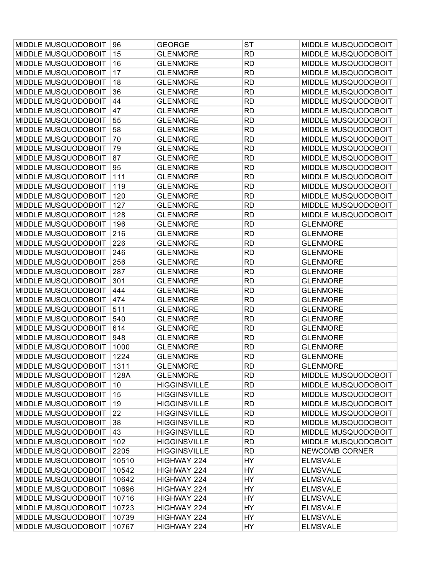| 15<br><b>GLENMORE</b><br><b>RD</b><br>MIDDLE MUSQUODOBOIT<br><b>RD</b><br>16<br><b>GLENMORE</b><br>MIDDLE MUSQUODOBOIT<br>17<br><b>RD</b><br>MIDDLE MUSQUODOBOIT<br><b>GLENMORE</b><br><b>RD</b><br>18<br><b>GLENMORE</b><br>MIDDLE MUSQUODOBOIT<br>36<br><b>RD</b><br>MIDDLE MUSQUODOBOIT<br><b>GLENMORE</b><br>44<br><b>RD</b><br>MIDDLE MUSQUODOBOIT<br><b>GLENMORE</b><br>MIDDLE MUSQUODOBOIT<br>47<br><b>GLENMORE</b><br><b>RD</b><br>MIDDLE MUSQUODOBOIT<br>55<br><b>GLENMORE</b><br><b>RD</b><br>MIDDLE MUSQUODOBOIT<br>58<br><b>RD</b><br>MIDDLE MUSQUODOBOIT<br><b>GLENMORE</b><br>70<br><b>RD</b><br><b>GLENMORE</b><br>MIDDLE MUSQUODOBOIT<br><b>RD</b><br>MIDDLE MUSQUODOBOIT<br>79<br>MIDDLE MUSQUODOBOIT<br><b>GLENMORE</b><br>87<br><b>RD</b><br>MIDDLE MUSQUODOBOIT<br>MIDDLE MUSQUODOBOIT<br><b>GLENMORE</b><br>95<br><b>GLENMORE</b><br><b>RD</b><br>MIDDLE MUSQUODOBOIT<br>MIDDLE MUSQUODOBOIT<br><b>GLENMORE</b><br><b>RD</b><br>MIDDLE MUSQUODOBOIT<br>111<br>MIDDLE MUSQUODOBOIT<br><b>RD</b><br>MIDDLE MUSQUODOBOIT<br>119<br><b>GLENMORE</b><br><b>RD</b><br>MIDDLE MUSQUODOBOIT<br>120<br><b>GLENMORE</b><br>MIDDLE MUSQUODOBOIT<br><b>RD</b><br>MIDDLE MUSQUODOBOIT<br>127<br>MIDDLE MUSQUODOBOIT<br><b>GLENMORE</b><br>MIDDLE MUSQUODOBOIT<br>128<br><b>RD</b><br>MIDDLE MUSQUODOBOIT<br><b>GLENMORE</b><br>MIDDLE MUSQUODOBOIT<br>196<br><b>GLENMORE</b><br><b>RD</b><br><b>GLENMORE</b><br>MIDDLE MUSQUODOBOIT<br>216<br><b>GLENMORE</b><br><b>RD</b><br><b>GLENMORE</b><br>226<br><b>RD</b><br>MIDDLE MUSQUODOBOIT<br><b>GLENMORE</b><br><b>GLENMORE</b><br>246<br>MIDDLE MUSQUODOBOIT<br><b>GLENMORE</b><br><b>RD</b><br><b>GLENMORE</b><br>256<br><b>RD</b><br>MIDDLE MUSQUODOBOIT<br><b>GLENMORE</b><br><b>GLENMORE</b><br>MIDDLE MUSQUODOBOIT<br>287<br><b>RD</b><br><b>GLENMORE</b><br><b>GLENMORE</b><br>301<br>MIDDLE MUSQUODOBOIT<br><b>GLENMORE</b><br><b>RD</b><br><b>GLENMORE</b><br>MIDDLE MUSQUODOBOIT<br>444<br><b>GLENMORE</b><br><b>RD</b><br><b>GLENMORE</b><br>474<br><b>RD</b><br>MIDDLE MUSQUODOBOIT<br><b>GLENMORE</b><br><b>GLENMORE</b><br><b>RD</b><br>MIDDLE MUSQUODOBOIT<br>511<br><b>GLENMORE</b><br><b>GLENMORE</b><br>MIDDLE MUSQUODOBOIT<br><b>RD</b><br>540<br><b>GLENMORE</b><br><b>GLENMORE</b><br>MIDDLE MUSQUODOBOIT<br>614<br><b>GLENMORE</b><br><b>RD</b><br><b>GLENMORE</b><br>MIDDLE MUSQUODOBOIT<br>948<br><b>GLENMORE</b><br><b>RD</b><br><b>GLENMORE</b><br>MIDDLE MUSQUODOBOIT<br>1000<br><b>GLENMORE</b><br><b>RD</b><br><b>GLENMORE</b><br>MIDDLE MUSQUODOBOIT<br>1224<br><b>RD</b><br><b>GLENMORE</b><br><b>GLENMORE</b><br>1311<br><b>RD</b><br>MIDDLE MUSQUODOBOIT<br><b>GLENMORE</b><br><b>GLENMORE</b><br>MIDDLE MUSQUODOBOIT<br>128A<br><b>RD</b><br>MIDDLE MUSQUODOBOIT<br><b>GLENMORE</b><br>MIDDLE MUSQUODOBOIT<br><b>HIGGINSVILLE</b><br><b>RD</b><br>MIDDLE MUSQUODOBOIT<br>10<br>MIDDLE MUSQUODOBOIT<br>15<br><b>HIGGINSVILLE</b><br><b>RD</b><br>MIDDLE MUSQUODOBOIT<br>MIDDLE MUSQUODOBOIT<br><b>HIGGINSVILLE</b><br><b>RD</b><br>MIDDLE MUSQUODOBOIT<br>19 | MIDDLE MUSQUODOBOIT | 96 | <b>GEORGE</b>       | <b>ST</b> | MIDDLE MUSQUODOBOIT |
|------------------------------------------------------------------------------------------------------------------------------------------------------------------------------------------------------------------------------------------------------------------------------------------------------------------------------------------------------------------------------------------------------------------------------------------------------------------------------------------------------------------------------------------------------------------------------------------------------------------------------------------------------------------------------------------------------------------------------------------------------------------------------------------------------------------------------------------------------------------------------------------------------------------------------------------------------------------------------------------------------------------------------------------------------------------------------------------------------------------------------------------------------------------------------------------------------------------------------------------------------------------------------------------------------------------------------------------------------------------------------------------------------------------------------------------------------------------------------------------------------------------------------------------------------------------------------------------------------------------------------------------------------------------------------------------------------------------------------------------------------------------------------------------------------------------------------------------------------------------------------------------------------------------------------------------------------------------------------------------------------------------------------------------------------------------------------------------------------------------------------------------------------------------------------------------------------------------------------------------------------------------------------------------------------------------------------------------------------------------------------------------------------------------------------------------------------------------------------------------------------------------------------------------------------------------------------------------------------------------------------------------------------------------------------------------------------------------------------------------------------------------------------------------------------------------------------------------------------------------------------------------------------------------------------------------------------------------------------------------------------------------------------------------------------|---------------------|----|---------------------|-----------|---------------------|
|                                                                                                                                                                                                                                                                                                                                                                                                                                                                                                                                                                                                                                                                                                                                                                                                                                                                                                                                                                                                                                                                                                                                                                                                                                                                                                                                                                                                                                                                                                                                                                                                                                                                                                                                                                                                                                                                                                                                                                                                                                                                                                                                                                                                                                                                                                                                                                                                                                                                                                                                                                                                                                                                                                                                                                                                                                                                                                                                                                                                                                                      | MIDDLE MUSQUODOBOIT |    |                     |           |                     |
|                                                                                                                                                                                                                                                                                                                                                                                                                                                                                                                                                                                                                                                                                                                                                                                                                                                                                                                                                                                                                                                                                                                                                                                                                                                                                                                                                                                                                                                                                                                                                                                                                                                                                                                                                                                                                                                                                                                                                                                                                                                                                                                                                                                                                                                                                                                                                                                                                                                                                                                                                                                                                                                                                                                                                                                                                                                                                                                                                                                                                                                      | MIDDLE MUSQUODOBOIT |    |                     |           |                     |
|                                                                                                                                                                                                                                                                                                                                                                                                                                                                                                                                                                                                                                                                                                                                                                                                                                                                                                                                                                                                                                                                                                                                                                                                                                                                                                                                                                                                                                                                                                                                                                                                                                                                                                                                                                                                                                                                                                                                                                                                                                                                                                                                                                                                                                                                                                                                                                                                                                                                                                                                                                                                                                                                                                                                                                                                                                                                                                                                                                                                                                                      | MIDDLE MUSQUODOBOIT |    |                     |           |                     |
|                                                                                                                                                                                                                                                                                                                                                                                                                                                                                                                                                                                                                                                                                                                                                                                                                                                                                                                                                                                                                                                                                                                                                                                                                                                                                                                                                                                                                                                                                                                                                                                                                                                                                                                                                                                                                                                                                                                                                                                                                                                                                                                                                                                                                                                                                                                                                                                                                                                                                                                                                                                                                                                                                                                                                                                                                                                                                                                                                                                                                                                      | MIDDLE MUSQUODOBOIT |    |                     |           |                     |
|                                                                                                                                                                                                                                                                                                                                                                                                                                                                                                                                                                                                                                                                                                                                                                                                                                                                                                                                                                                                                                                                                                                                                                                                                                                                                                                                                                                                                                                                                                                                                                                                                                                                                                                                                                                                                                                                                                                                                                                                                                                                                                                                                                                                                                                                                                                                                                                                                                                                                                                                                                                                                                                                                                                                                                                                                                                                                                                                                                                                                                                      | MIDDLE MUSQUODOBOIT |    |                     |           |                     |
|                                                                                                                                                                                                                                                                                                                                                                                                                                                                                                                                                                                                                                                                                                                                                                                                                                                                                                                                                                                                                                                                                                                                                                                                                                                                                                                                                                                                                                                                                                                                                                                                                                                                                                                                                                                                                                                                                                                                                                                                                                                                                                                                                                                                                                                                                                                                                                                                                                                                                                                                                                                                                                                                                                                                                                                                                                                                                                                                                                                                                                                      | MIDDLE MUSQUODOBOIT |    |                     |           |                     |
|                                                                                                                                                                                                                                                                                                                                                                                                                                                                                                                                                                                                                                                                                                                                                                                                                                                                                                                                                                                                                                                                                                                                                                                                                                                                                                                                                                                                                                                                                                                                                                                                                                                                                                                                                                                                                                                                                                                                                                                                                                                                                                                                                                                                                                                                                                                                                                                                                                                                                                                                                                                                                                                                                                                                                                                                                                                                                                                                                                                                                                                      |                     |    |                     |           |                     |
|                                                                                                                                                                                                                                                                                                                                                                                                                                                                                                                                                                                                                                                                                                                                                                                                                                                                                                                                                                                                                                                                                                                                                                                                                                                                                                                                                                                                                                                                                                                                                                                                                                                                                                                                                                                                                                                                                                                                                                                                                                                                                                                                                                                                                                                                                                                                                                                                                                                                                                                                                                                                                                                                                                                                                                                                                                                                                                                                                                                                                                                      | MIDDLE MUSQUODOBOIT |    |                     |           |                     |
|                                                                                                                                                                                                                                                                                                                                                                                                                                                                                                                                                                                                                                                                                                                                                                                                                                                                                                                                                                                                                                                                                                                                                                                                                                                                                                                                                                                                                                                                                                                                                                                                                                                                                                                                                                                                                                                                                                                                                                                                                                                                                                                                                                                                                                                                                                                                                                                                                                                                                                                                                                                                                                                                                                                                                                                                                                                                                                                                                                                                                                                      | MIDDLE MUSQUODOBOIT |    |                     |           |                     |
|                                                                                                                                                                                                                                                                                                                                                                                                                                                                                                                                                                                                                                                                                                                                                                                                                                                                                                                                                                                                                                                                                                                                                                                                                                                                                                                                                                                                                                                                                                                                                                                                                                                                                                                                                                                                                                                                                                                                                                                                                                                                                                                                                                                                                                                                                                                                                                                                                                                                                                                                                                                                                                                                                                                                                                                                                                                                                                                                                                                                                                                      | MIDDLE MUSQUODOBOIT |    |                     |           |                     |
|                                                                                                                                                                                                                                                                                                                                                                                                                                                                                                                                                                                                                                                                                                                                                                                                                                                                                                                                                                                                                                                                                                                                                                                                                                                                                                                                                                                                                                                                                                                                                                                                                                                                                                                                                                                                                                                                                                                                                                                                                                                                                                                                                                                                                                                                                                                                                                                                                                                                                                                                                                                                                                                                                                                                                                                                                                                                                                                                                                                                                                                      |                     |    |                     |           |                     |
|                                                                                                                                                                                                                                                                                                                                                                                                                                                                                                                                                                                                                                                                                                                                                                                                                                                                                                                                                                                                                                                                                                                                                                                                                                                                                                                                                                                                                                                                                                                                                                                                                                                                                                                                                                                                                                                                                                                                                                                                                                                                                                                                                                                                                                                                                                                                                                                                                                                                                                                                                                                                                                                                                                                                                                                                                                                                                                                                                                                                                                                      |                     |    |                     |           |                     |
|                                                                                                                                                                                                                                                                                                                                                                                                                                                                                                                                                                                                                                                                                                                                                                                                                                                                                                                                                                                                                                                                                                                                                                                                                                                                                                                                                                                                                                                                                                                                                                                                                                                                                                                                                                                                                                                                                                                                                                                                                                                                                                                                                                                                                                                                                                                                                                                                                                                                                                                                                                                                                                                                                                                                                                                                                                                                                                                                                                                                                                                      | MIDDLE MUSQUODOBOIT |    |                     |           |                     |
|                                                                                                                                                                                                                                                                                                                                                                                                                                                                                                                                                                                                                                                                                                                                                                                                                                                                                                                                                                                                                                                                                                                                                                                                                                                                                                                                                                                                                                                                                                                                                                                                                                                                                                                                                                                                                                                                                                                                                                                                                                                                                                                                                                                                                                                                                                                                                                                                                                                                                                                                                                                                                                                                                                                                                                                                                                                                                                                                                                                                                                                      |                     |    |                     |           |                     |
|                                                                                                                                                                                                                                                                                                                                                                                                                                                                                                                                                                                                                                                                                                                                                                                                                                                                                                                                                                                                                                                                                                                                                                                                                                                                                                                                                                                                                                                                                                                                                                                                                                                                                                                                                                                                                                                                                                                                                                                                                                                                                                                                                                                                                                                                                                                                                                                                                                                                                                                                                                                                                                                                                                                                                                                                                                                                                                                                                                                                                                                      |                     |    |                     |           |                     |
|                                                                                                                                                                                                                                                                                                                                                                                                                                                                                                                                                                                                                                                                                                                                                                                                                                                                                                                                                                                                                                                                                                                                                                                                                                                                                                                                                                                                                                                                                                                                                                                                                                                                                                                                                                                                                                                                                                                                                                                                                                                                                                                                                                                                                                                                                                                                                                                                                                                                                                                                                                                                                                                                                                                                                                                                                                                                                                                                                                                                                                                      |                     |    |                     |           |                     |
|                                                                                                                                                                                                                                                                                                                                                                                                                                                                                                                                                                                                                                                                                                                                                                                                                                                                                                                                                                                                                                                                                                                                                                                                                                                                                                                                                                                                                                                                                                                                                                                                                                                                                                                                                                                                                                                                                                                                                                                                                                                                                                                                                                                                                                                                                                                                                                                                                                                                                                                                                                                                                                                                                                                                                                                                                                                                                                                                                                                                                                                      |                     |    |                     |           |                     |
|                                                                                                                                                                                                                                                                                                                                                                                                                                                                                                                                                                                                                                                                                                                                                                                                                                                                                                                                                                                                                                                                                                                                                                                                                                                                                                                                                                                                                                                                                                                                                                                                                                                                                                                                                                                                                                                                                                                                                                                                                                                                                                                                                                                                                                                                                                                                                                                                                                                                                                                                                                                                                                                                                                                                                                                                                                                                                                                                                                                                                                                      |                     |    |                     |           |                     |
|                                                                                                                                                                                                                                                                                                                                                                                                                                                                                                                                                                                                                                                                                                                                                                                                                                                                                                                                                                                                                                                                                                                                                                                                                                                                                                                                                                                                                                                                                                                                                                                                                                                                                                                                                                                                                                                                                                                                                                                                                                                                                                                                                                                                                                                                                                                                                                                                                                                                                                                                                                                                                                                                                                                                                                                                                                                                                                                                                                                                                                                      |                     |    |                     |           |                     |
|                                                                                                                                                                                                                                                                                                                                                                                                                                                                                                                                                                                                                                                                                                                                                                                                                                                                                                                                                                                                                                                                                                                                                                                                                                                                                                                                                                                                                                                                                                                                                                                                                                                                                                                                                                                                                                                                                                                                                                                                                                                                                                                                                                                                                                                                                                                                                                                                                                                                                                                                                                                                                                                                                                                                                                                                                                                                                                                                                                                                                                                      |                     |    |                     |           |                     |
|                                                                                                                                                                                                                                                                                                                                                                                                                                                                                                                                                                                                                                                                                                                                                                                                                                                                                                                                                                                                                                                                                                                                                                                                                                                                                                                                                                                                                                                                                                                                                                                                                                                                                                                                                                                                                                                                                                                                                                                                                                                                                                                                                                                                                                                                                                                                                                                                                                                                                                                                                                                                                                                                                                                                                                                                                                                                                                                                                                                                                                                      |                     |    |                     |           |                     |
|                                                                                                                                                                                                                                                                                                                                                                                                                                                                                                                                                                                                                                                                                                                                                                                                                                                                                                                                                                                                                                                                                                                                                                                                                                                                                                                                                                                                                                                                                                                                                                                                                                                                                                                                                                                                                                                                                                                                                                                                                                                                                                                                                                                                                                                                                                                                                                                                                                                                                                                                                                                                                                                                                                                                                                                                                                                                                                                                                                                                                                                      |                     |    |                     |           |                     |
|                                                                                                                                                                                                                                                                                                                                                                                                                                                                                                                                                                                                                                                                                                                                                                                                                                                                                                                                                                                                                                                                                                                                                                                                                                                                                                                                                                                                                                                                                                                                                                                                                                                                                                                                                                                                                                                                                                                                                                                                                                                                                                                                                                                                                                                                                                                                                                                                                                                                                                                                                                                                                                                                                                                                                                                                                                                                                                                                                                                                                                                      |                     |    |                     |           |                     |
|                                                                                                                                                                                                                                                                                                                                                                                                                                                                                                                                                                                                                                                                                                                                                                                                                                                                                                                                                                                                                                                                                                                                                                                                                                                                                                                                                                                                                                                                                                                                                                                                                                                                                                                                                                                                                                                                                                                                                                                                                                                                                                                                                                                                                                                                                                                                                                                                                                                                                                                                                                                                                                                                                                                                                                                                                                                                                                                                                                                                                                                      |                     |    |                     |           |                     |
|                                                                                                                                                                                                                                                                                                                                                                                                                                                                                                                                                                                                                                                                                                                                                                                                                                                                                                                                                                                                                                                                                                                                                                                                                                                                                                                                                                                                                                                                                                                                                                                                                                                                                                                                                                                                                                                                                                                                                                                                                                                                                                                                                                                                                                                                                                                                                                                                                                                                                                                                                                                                                                                                                                                                                                                                                                                                                                                                                                                                                                                      |                     |    |                     |           |                     |
|                                                                                                                                                                                                                                                                                                                                                                                                                                                                                                                                                                                                                                                                                                                                                                                                                                                                                                                                                                                                                                                                                                                                                                                                                                                                                                                                                                                                                                                                                                                                                                                                                                                                                                                                                                                                                                                                                                                                                                                                                                                                                                                                                                                                                                                                                                                                                                                                                                                                                                                                                                                                                                                                                                                                                                                                                                                                                                                                                                                                                                                      |                     |    |                     |           |                     |
|                                                                                                                                                                                                                                                                                                                                                                                                                                                                                                                                                                                                                                                                                                                                                                                                                                                                                                                                                                                                                                                                                                                                                                                                                                                                                                                                                                                                                                                                                                                                                                                                                                                                                                                                                                                                                                                                                                                                                                                                                                                                                                                                                                                                                                                                                                                                                                                                                                                                                                                                                                                                                                                                                                                                                                                                                                                                                                                                                                                                                                                      |                     |    |                     |           |                     |
|                                                                                                                                                                                                                                                                                                                                                                                                                                                                                                                                                                                                                                                                                                                                                                                                                                                                                                                                                                                                                                                                                                                                                                                                                                                                                                                                                                                                                                                                                                                                                                                                                                                                                                                                                                                                                                                                                                                                                                                                                                                                                                                                                                                                                                                                                                                                                                                                                                                                                                                                                                                                                                                                                                                                                                                                                                                                                                                                                                                                                                                      |                     |    |                     |           |                     |
|                                                                                                                                                                                                                                                                                                                                                                                                                                                                                                                                                                                                                                                                                                                                                                                                                                                                                                                                                                                                                                                                                                                                                                                                                                                                                                                                                                                                                                                                                                                                                                                                                                                                                                                                                                                                                                                                                                                                                                                                                                                                                                                                                                                                                                                                                                                                                                                                                                                                                                                                                                                                                                                                                                                                                                                                                                                                                                                                                                                                                                                      |                     |    |                     |           |                     |
|                                                                                                                                                                                                                                                                                                                                                                                                                                                                                                                                                                                                                                                                                                                                                                                                                                                                                                                                                                                                                                                                                                                                                                                                                                                                                                                                                                                                                                                                                                                                                                                                                                                                                                                                                                                                                                                                                                                                                                                                                                                                                                                                                                                                                                                                                                                                                                                                                                                                                                                                                                                                                                                                                                                                                                                                                                                                                                                                                                                                                                                      |                     |    |                     |           |                     |
|                                                                                                                                                                                                                                                                                                                                                                                                                                                                                                                                                                                                                                                                                                                                                                                                                                                                                                                                                                                                                                                                                                                                                                                                                                                                                                                                                                                                                                                                                                                                                                                                                                                                                                                                                                                                                                                                                                                                                                                                                                                                                                                                                                                                                                                                                                                                                                                                                                                                                                                                                                                                                                                                                                                                                                                                                                                                                                                                                                                                                                                      |                     |    |                     |           |                     |
|                                                                                                                                                                                                                                                                                                                                                                                                                                                                                                                                                                                                                                                                                                                                                                                                                                                                                                                                                                                                                                                                                                                                                                                                                                                                                                                                                                                                                                                                                                                                                                                                                                                                                                                                                                                                                                                                                                                                                                                                                                                                                                                                                                                                                                                                                                                                                                                                                                                                                                                                                                                                                                                                                                                                                                                                                                                                                                                                                                                                                                                      |                     |    |                     |           |                     |
|                                                                                                                                                                                                                                                                                                                                                                                                                                                                                                                                                                                                                                                                                                                                                                                                                                                                                                                                                                                                                                                                                                                                                                                                                                                                                                                                                                                                                                                                                                                                                                                                                                                                                                                                                                                                                                                                                                                                                                                                                                                                                                                                                                                                                                                                                                                                                                                                                                                                                                                                                                                                                                                                                                                                                                                                                                                                                                                                                                                                                                                      |                     |    |                     |           |                     |
|                                                                                                                                                                                                                                                                                                                                                                                                                                                                                                                                                                                                                                                                                                                                                                                                                                                                                                                                                                                                                                                                                                                                                                                                                                                                                                                                                                                                                                                                                                                                                                                                                                                                                                                                                                                                                                                                                                                                                                                                                                                                                                                                                                                                                                                                                                                                                                                                                                                                                                                                                                                                                                                                                                                                                                                                                                                                                                                                                                                                                                                      |                     |    |                     |           |                     |
|                                                                                                                                                                                                                                                                                                                                                                                                                                                                                                                                                                                                                                                                                                                                                                                                                                                                                                                                                                                                                                                                                                                                                                                                                                                                                                                                                                                                                                                                                                                                                                                                                                                                                                                                                                                                                                                                                                                                                                                                                                                                                                                                                                                                                                                                                                                                                                                                                                                                                                                                                                                                                                                                                                                                                                                                                                                                                                                                                                                                                                                      |                     |    |                     |           |                     |
|                                                                                                                                                                                                                                                                                                                                                                                                                                                                                                                                                                                                                                                                                                                                                                                                                                                                                                                                                                                                                                                                                                                                                                                                                                                                                                                                                                                                                                                                                                                                                                                                                                                                                                                                                                                                                                                                                                                                                                                                                                                                                                                                                                                                                                                                                                                                                                                                                                                                                                                                                                                                                                                                                                                                                                                                                                                                                                                                                                                                                                                      |                     |    |                     |           |                     |
|                                                                                                                                                                                                                                                                                                                                                                                                                                                                                                                                                                                                                                                                                                                                                                                                                                                                                                                                                                                                                                                                                                                                                                                                                                                                                                                                                                                                                                                                                                                                                                                                                                                                                                                                                                                                                                                                                                                                                                                                                                                                                                                                                                                                                                                                                                                                                                                                                                                                                                                                                                                                                                                                                                                                                                                                                                                                                                                                                                                                                                                      |                     |    |                     |           |                     |
|                                                                                                                                                                                                                                                                                                                                                                                                                                                                                                                                                                                                                                                                                                                                                                                                                                                                                                                                                                                                                                                                                                                                                                                                                                                                                                                                                                                                                                                                                                                                                                                                                                                                                                                                                                                                                                                                                                                                                                                                                                                                                                                                                                                                                                                                                                                                                                                                                                                                                                                                                                                                                                                                                                                                                                                                                                                                                                                                                                                                                                                      |                     |    |                     |           |                     |
|                                                                                                                                                                                                                                                                                                                                                                                                                                                                                                                                                                                                                                                                                                                                                                                                                                                                                                                                                                                                                                                                                                                                                                                                                                                                                                                                                                                                                                                                                                                                                                                                                                                                                                                                                                                                                                                                                                                                                                                                                                                                                                                                                                                                                                                                                                                                                                                                                                                                                                                                                                                                                                                                                                                                                                                                                                                                                                                                                                                                                                                      | MIDDLE MUSQUODOBOIT | 22 | <b>HIGGINSVILLE</b> | <b>RD</b> | MIDDLE MUSQUODOBOIT |
| 38<br><b>HIGGINSVILLE</b><br><b>RD</b><br>MIDDLE MUSQUODOBOIT                                                                                                                                                                                                                                                                                                                                                                                                                                                                                                                                                                                                                                                                                                                                                                                                                                                                                                                                                                                                                                                                                                                                                                                                                                                                                                                                                                                                                                                                                                                                                                                                                                                                                                                                                                                                                                                                                                                                                                                                                                                                                                                                                                                                                                                                                                                                                                                                                                                                                                                                                                                                                                                                                                                                                                                                                                                                                                                                                                                        | MIDDLE MUSQUODOBOIT |    |                     |           |                     |
| 43<br><b>RD</b><br>MIDDLE MUSQUODOBOIT<br><b>HIGGINSVILLE</b>                                                                                                                                                                                                                                                                                                                                                                                                                                                                                                                                                                                                                                                                                                                                                                                                                                                                                                                                                                                                                                                                                                                                                                                                                                                                                                                                                                                                                                                                                                                                                                                                                                                                                                                                                                                                                                                                                                                                                                                                                                                                                                                                                                                                                                                                                                                                                                                                                                                                                                                                                                                                                                                                                                                                                                                                                                                                                                                                                                                        | MIDDLE MUSQUODOBOIT |    |                     |           |                     |
| 102<br><b>HIGGINSVILLE</b><br><b>RD</b><br>MIDDLE MUSQUODOBOIT                                                                                                                                                                                                                                                                                                                                                                                                                                                                                                                                                                                                                                                                                                                                                                                                                                                                                                                                                                                                                                                                                                                                                                                                                                                                                                                                                                                                                                                                                                                                                                                                                                                                                                                                                                                                                                                                                                                                                                                                                                                                                                                                                                                                                                                                                                                                                                                                                                                                                                                                                                                                                                                                                                                                                                                                                                                                                                                                                                                       | MIDDLE MUSQUODOBOIT |    |                     |           |                     |
| 2205<br><b>HIGGINSVILLE</b><br><b>RD</b><br><b>NEWCOMB CORNER</b>                                                                                                                                                                                                                                                                                                                                                                                                                                                                                                                                                                                                                                                                                                                                                                                                                                                                                                                                                                                                                                                                                                                                                                                                                                                                                                                                                                                                                                                                                                                                                                                                                                                                                                                                                                                                                                                                                                                                                                                                                                                                                                                                                                                                                                                                                                                                                                                                                                                                                                                                                                                                                                                                                                                                                                                                                                                                                                                                                                                    | MIDDLE MUSQUODOBOIT |    |                     |           |                     |
| HY<br>10510<br>HIGHWAY 224<br><b>ELMSVALE</b>                                                                                                                                                                                                                                                                                                                                                                                                                                                                                                                                                                                                                                                                                                                                                                                                                                                                                                                                                                                                                                                                                                                                                                                                                                                                                                                                                                                                                                                                                                                                                                                                                                                                                                                                                                                                                                                                                                                                                                                                                                                                                                                                                                                                                                                                                                                                                                                                                                                                                                                                                                                                                                                                                                                                                                                                                                                                                                                                                                                                        | MIDDLE MUSQUODOBOIT |    |                     |           |                     |
| HY<br>10542<br>HIGHWAY 224<br><b>ELMSVALE</b>                                                                                                                                                                                                                                                                                                                                                                                                                                                                                                                                                                                                                                                                                                                                                                                                                                                                                                                                                                                                                                                                                                                                                                                                                                                                                                                                                                                                                                                                                                                                                                                                                                                                                                                                                                                                                                                                                                                                                                                                                                                                                                                                                                                                                                                                                                                                                                                                                                                                                                                                                                                                                                                                                                                                                                                                                                                                                                                                                                                                        | MIDDLE MUSQUODOBOIT |    |                     |           |                     |
| 10642<br>HY<br>HIGHWAY 224<br><b>ELMSVALE</b>                                                                                                                                                                                                                                                                                                                                                                                                                                                                                                                                                                                                                                                                                                                                                                                                                                                                                                                                                                                                                                                                                                                                                                                                                                                                                                                                                                                                                                                                                                                                                                                                                                                                                                                                                                                                                                                                                                                                                                                                                                                                                                                                                                                                                                                                                                                                                                                                                                                                                                                                                                                                                                                                                                                                                                                                                                                                                                                                                                                                        | MIDDLE MUSQUODOBOIT |    |                     |           |                     |
| HY<br>10696<br>HIGHWAY 224<br><b>ELMSVALE</b>                                                                                                                                                                                                                                                                                                                                                                                                                                                                                                                                                                                                                                                                                                                                                                                                                                                                                                                                                                                                                                                                                                                                                                                                                                                                                                                                                                                                                                                                                                                                                                                                                                                                                                                                                                                                                                                                                                                                                                                                                                                                                                                                                                                                                                                                                                                                                                                                                                                                                                                                                                                                                                                                                                                                                                                                                                                                                                                                                                                                        | MIDDLE MUSQUODOBOIT |    |                     |           |                     |
| HY<br>10716<br>HIGHWAY 224<br><b>ELMSVALE</b>                                                                                                                                                                                                                                                                                                                                                                                                                                                                                                                                                                                                                                                                                                                                                                                                                                                                                                                                                                                                                                                                                                                                                                                                                                                                                                                                                                                                                                                                                                                                                                                                                                                                                                                                                                                                                                                                                                                                                                                                                                                                                                                                                                                                                                                                                                                                                                                                                                                                                                                                                                                                                                                                                                                                                                                                                                                                                                                                                                                                        | MIDDLE MUSQUODOBOIT |    |                     |           |                     |
| 10723<br>HIGHWAY 224<br>HY<br><b>ELMSVALE</b>                                                                                                                                                                                                                                                                                                                                                                                                                                                                                                                                                                                                                                                                                                                                                                                                                                                                                                                                                                                                                                                                                                                                                                                                                                                                                                                                                                                                                                                                                                                                                                                                                                                                                                                                                                                                                                                                                                                                                                                                                                                                                                                                                                                                                                                                                                                                                                                                                                                                                                                                                                                                                                                                                                                                                                                                                                                                                                                                                                                                        | MIDDLE MUSQUODOBOIT |    |                     |           |                     |
| HIGHWAY 224<br><b>ELMSVALE</b><br>10739<br>HY                                                                                                                                                                                                                                                                                                                                                                                                                                                                                                                                                                                                                                                                                                                                                                                                                                                                                                                                                                                                                                                                                                                                                                                                                                                                                                                                                                                                                                                                                                                                                                                                                                                                                                                                                                                                                                                                                                                                                                                                                                                                                                                                                                                                                                                                                                                                                                                                                                                                                                                                                                                                                                                                                                                                                                                                                                                                                                                                                                                                        | MIDDLE MUSQUODOBOIT |    |                     |           |                     |
| 10767<br>HIGHWAY 224<br>HY<br><b>ELMSVALE</b>                                                                                                                                                                                                                                                                                                                                                                                                                                                                                                                                                                                                                                                                                                                                                                                                                                                                                                                                                                                                                                                                                                                                                                                                                                                                                                                                                                                                                                                                                                                                                                                                                                                                                                                                                                                                                                                                                                                                                                                                                                                                                                                                                                                                                                                                                                                                                                                                                                                                                                                                                                                                                                                                                                                                                                                                                                                                                                                                                                                                        | MIDDLE MUSQUODOBOIT |    |                     |           |                     |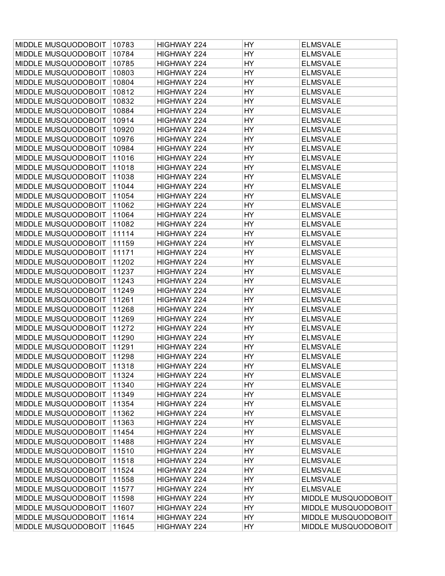| MIDDLE MUSQUODOBOIT | 10783 | HIGHWAY 224 | HY        | <b>ELMSVALE</b>     |
|---------------------|-------|-------------|-----------|---------------------|
| MIDDLE MUSQUODOBOIT | 10784 | HIGHWAY 224 | HY        | <b>ELMSVALE</b>     |
| MIDDLE MUSQUODOBOIT | 10785 | HIGHWAY 224 | HY        | <b>ELMSVALE</b>     |
| MIDDLE MUSQUODOBOIT | 10803 | HIGHWAY 224 | HY        | <b>ELMSVALE</b>     |
| MIDDLE MUSQUODOBOIT | 10804 | HIGHWAY 224 | HY        | <b>ELMSVALE</b>     |
| MIDDLE MUSQUODOBOIT | 10812 | HIGHWAY 224 | HY        | <b>ELMSVALE</b>     |
| MIDDLE MUSQUODOBOIT | 10832 | HIGHWAY 224 | HY        | <b>ELMSVALE</b>     |
| MIDDLE MUSQUODOBOIT | 10884 | HIGHWAY 224 | HY        | <b>ELMSVALE</b>     |
| MIDDLE MUSQUODOBOIT | 10914 | HIGHWAY 224 | HY        | <b>ELMSVALE</b>     |
| MIDDLE MUSQUODOBOIT | 10920 | HIGHWAY 224 | HY        | <b>ELMSVALE</b>     |
| MIDDLE MUSQUODOBOIT | 10976 | HIGHWAY 224 | HY        | <b>ELMSVALE</b>     |
| MIDDLE MUSQUODOBOIT | 10984 | HIGHWAY 224 | HY        | <b>ELMSVALE</b>     |
| MIDDLE MUSQUODOBOIT | 11016 | HIGHWAY 224 | HY        | <b>ELMSVALE</b>     |
| MIDDLE MUSQUODOBOIT | 11018 | HIGHWAY 224 | HY        | <b>ELMSVALE</b>     |
| MIDDLE MUSQUODOBOIT | 11038 | HIGHWAY 224 | HY        | <b>ELMSVALE</b>     |
| MIDDLE MUSQUODOBOIT | 11044 | HIGHWAY 224 | HY        | <b>ELMSVALE</b>     |
| MIDDLE MUSQUODOBOIT | 11054 | HIGHWAY 224 | HY        | <b>ELMSVALE</b>     |
| MIDDLE MUSQUODOBOIT | 11062 | HIGHWAY 224 | HY        | <b>ELMSVALE</b>     |
| MIDDLE MUSQUODOBOIT | 11064 | HIGHWAY 224 | HY        | <b>ELMSVALE</b>     |
| MIDDLE MUSQUODOBOIT | 11082 | HIGHWAY 224 | HY        | <b>ELMSVALE</b>     |
| MIDDLE MUSQUODOBOIT | 11114 | HIGHWAY 224 | HY        | <b>ELMSVALE</b>     |
| MIDDLE MUSQUODOBOIT | 11159 | HIGHWAY 224 | HY        | <b>ELMSVALE</b>     |
| MIDDLE MUSQUODOBOIT | 11171 | HIGHWAY 224 | HY        | <b>ELMSVALE</b>     |
| MIDDLE MUSQUODOBOIT | 11202 | HIGHWAY 224 | HY        | <b>ELMSVALE</b>     |
| MIDDLE MUSQUODOBOIT | 11237 | HIGHWAY 224 | HY        | <b>ELMSVALE</b>     |
| MIDDLE MUSQUODOBOIT | 11243 | HIGHWAY 224 | HY        | <b>ELMSVALE</b>     |
| MIDDLE MUSQUODOBOIT | 11249 | HIGHWAY 224 | HY        | <b>ELMSVALE</b>     |
| MIDDLE MUSQUODOBOIT | 11261 | HIGHWAY 224 | HY        | <b>ELMSVALE</b>     |
| MIDDLE MUSQUODOBOIT | 11268 | HIGHWAY 224 | HY        | <b>ELMSVALE</b>     |
| MIDDLE MUSQUODOBOIT | 11269 | HIGHWAY 224 | HY        | <b>ELMSVALE</b>     |
| MIDDLE MUSQUODOBOIT | 11272 | HIGHWAY 224 | HY        | <b>ELMSVALE</b>     |
| MIDDLE MUSQUODOBOIT | 11290 | HIGHWAY 224 | HY        | <b>ELMSVALE</b>     |
| MIDDLE MUSQUODOBOIT | 11291 | HIGHWAY 224 | HY        | <b>ELMSVALE</b>     |
| MIDDLE MUSQUODOBOIT | 11298 | HIGHWAY 224 | <b>HY</b> | <b>ELMSVALE</b>     |
| MIDDLE MUSQUODOBOIT | 11318 | HIGHWAY 224 | HY        | <b>ELMSVALE</b>     |
|                     |       |             |           |                     |
| MIDDLE MUSQUODOBOIT | 11324 | HIGHWAY 224 | HY        | <b>ELMSVALE</b>     |
| MIDDLE MUSQUODOBOIT | 11340 | HIGHWAY 224 | HY        | <b>ELMSVALE</b>     |
| MIDDLE MUSQUODOBOIT | 11349 | HIGHWAY 224 | HY        | <b>ELMSVALE</b>     |
| MIDDLE MUSQUODOBOIT | 11354 | HIGHWAY 224 | <b>HY</b> | <b>ELMSVALE</b>     |
| MIDDLE MUSQUODOBOIT | 11362 | HIGHWAY 224 | HY        | <b>ELMSVALE</b>     |
| MIDDLE MUSQUODOBOIT | 11363 | HIGHWAY 224 | HY        | <b>ELMSVALE</b>     |
| MIDDLE MUSQUODOBOIT | 11454 | HIGHWAY 224 | HY        | <b>ELMSVALE</b>     |
| MIDDLE MUSQUODOBOIT | 11488 | HIGHWAY 224 | HY        | <b>ELMSVALE</b>     |
| MIDDLE MUSQUODOBOIT | 11510 | HIGHWAY 224 | HY        | <b>ELMSVALE</b>     |
| MIDDLE MUSQUODOBOIT | 11518 | HIGHWAY 224 | HY        | <b>ELMSVALE</b>     |
| MIDDLE MUSQUODOBOIT | 11524 | HIGHWAY 224 | HY        | <b>ELMSVALE</b>     |
| MIDDLE MUSQUODOBOIT | 11558 | HIGHWAY 224 | HY        | <b>ELMSVALE</b>     |
| MIDDLE MUSQUODOBOIT | 11577 | HIGHWAY 224 | HY        | <b>ELMSVALE</b>     |
| MIDDLE MUSQUODOBOIT | 11598 | HIGHWAY 224 | HY        | MIDDLE MUSQUODOBOIT |
| MIDDLE MUSQUODOBOIT | 11607 | HIGHWAY 224 | HY        | MIDDLE MUSQUODOBOIT |
| MIDDLE MUSQUODOBOIT | 11614 | HIGHWAY 224 | HY        | MIDDLE MUSQUODOBOIT |
| MIDDLE MUSQUODOBOIT | 11645 | HIGHWAY 224 | HY        | MIDDLE MUSQUODOBOIT |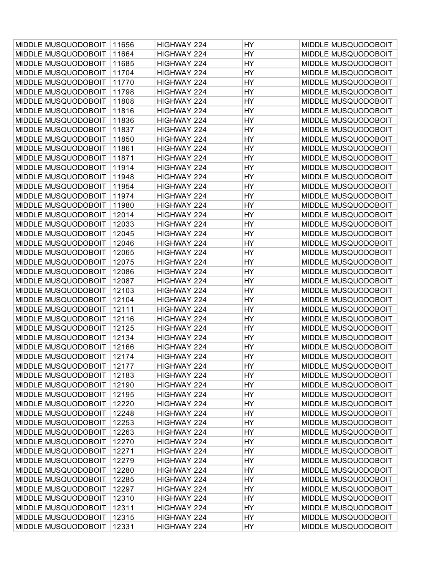| MIDDLE MUSQUODOBOIT | 11656 | HIGHWAY 224 | HY        | MIDDLE MUSQUODOBOIT |
|---------------------|-------|-------------|-----------|---------------------|
| MIDDLE MUSQUODOBOIT | 11664 | HIGHWAY 224 | HY        | MIDDLE MUSQUODOBOIT |
| MIDDLE MUSQUODOBOIT | 11685 | HIGHWAY 224 | HY        | MIDDLE MUSQUODOBOIT |
| MIDDLE MUSQUODOBOIT | 11704 | HIGHWAY 224 | HY        | MIDDLE MUSQUODOBOIT |
| MIDDLE MUSQUODOBOIT | 11770 | HIGHWAY 224 | <b>HY</b> | MIDDLE MUSQUODOBOIT |
| MIDDLE MUSQUODOBOIT | 11798 | HIGHWAY 224 | HY        | MIDDLE MUSQUODOBOIT |
| MIDDLE MUSQUODOBOIT | 11808 | HIGHWAY 224 | <b>HY</b> | MIDDLE MUSQUODOBOIT |
| MIDDLE MUSQUODOBOIT | 11816 | HIGHWAY 224 | <b>HY</b> | MIDDLE MUSQUODOBOIT |
| MIDDLE MUSQUODOBOIT | 11836 | HIGHWAY 224 | HY        | MIDDLE MUSQUODOBOIT |
| MIDDLE MUSQUODOBOIT | 11837 | HIGHWAY 224 | HY        | MIDDLE MUSQUODOBOIT |
| MIDDLE MUSQUODOBOIT | 11850 | HIGHWAY 224 | <b>HY</b> | MIDDLE MUSQUODOBOIT |
| MIDDLE MUSQUODOBOIT | 11861 | HIGHWAY 224 | HY        | MIDDLE MUSQUODOBOIT |
| MIDDLE MUSQUODOBOIT | 11871 | HIGHWAY 224 | <b>HY</b> | MIDDLE MUSQUODOBOIT |
| MIDDLE MUSQUODOBOIT | 11914 | HIGHWAY 224 | HY        | MIDDLE MUSQUODOBOIT |
| MIDDLE MUSQUODOBOIT | 11948 | HIGHWAY 224 | HY        | MIDDLE MUSQUODOBOIT |
| MIDDLE MUSQUODOBOIT | 11954 | HIGHWAY 224 | HY        | MIDDLE MUSQUODOBOIT |
| MIDDLE MUSQUODOBOIT | 11974 | HIGHWAY 224 | <b>HY</b> | MIDDLE MUSQUODOBOIT |
| MIDDLE MUSQUODOBOIT | 11980 | HIGHWAY 224 | HY        | MIDDLE MUSQUODOBOIT |
| MIDDLE MUSQUODOBOIT | 12014 | HIGHWAY 224 | <b>HY</b> | MIDDLE MUSQUODOBOIT |
| MIDDLE MUSQUODOBOIT | 12033 | HIGHWAY 224 | HY        | MIDDLE MUSQUODOBOIT |
| MIDDLE MUSQUODOBOIT | 12045 | HIGHWAY 224 | HY        | MIDDLE MUSQUODOBOIT |
| MIDDLE MUSQUODOBOIT | 12046 | HIGHWAY 224 | HY        | MIDDLE MUSQUODOBOIT |
| MIDDLE MUSQUODOBOIT | 12065 | HIGHWAY 224 | <b>HY</b> | MIDDLE MUSQUODOBOIT |
| MIDDLE MUSQUODOBOIT | 12075 | HIGHWAY 224 | HY        | MIDDLE MUSQUODOBOIT |
| MIDDLE MUSQUODOBOIT | 12086 | HIGHWAY 224 | <b>HY</b> | MIDDLE MUSQUODOBOIT |
| MIDDLE MUSQUODOBOIT | 12087 | HIGHWAY 224 | <b>HY</b> | MIDDLE MUSQUODOBOIT |
| MIDDLE MUSQUODOBOIT | 12103 | HIGHWAY 224 | HY        | MIDDLE MUSQUODOBOIT |
| MIDDLE MUSQUODOBOIT | 12104 | HIGHWAY 224 | HY        | MIDDLE MUSQUODOBOIT |
| MIDDLE MUSQUODOBOIT | 12111 | HIGHWAY 224 | <b>HY</b> | MIDDLE MUSQUODOBOIT |
| MIDDLE MUSQUODOBOIT | 12116 | HIGHWAY 224 | HY        | MIDDLE MUSQUODOBOIT |
| MIDDLE MUSQUODOBOIT | 12125 | HIGHWAY 224 | HY        | MIDDLE MUSQUODOBOIT |
| MIDDLE MUSQUODOBOIT | 12134 | HIGHWAY 224 | HY        | MIDDLE MUSQUODOBOIT |
| MIDDLE MUSQUODOBOIT | 12166 | HIGHWAY 224 | HY        | MIDDLE MUSQUODOBOIT |
| MIDDLE MUSQUODOBOIT | 12174 | HIGHWAY 224 | HY        | MIDDLE MUSQUODOBOIT |
| MIDDLE MUSQUODOBOIT | 12177 | HIGHWAY 224 | HY        | MIDDLE MUSQUODOBOIT |
| MIDDLE MUSQUODOBOIT | 12183 | HIGHWAY 224 | HY        | MIDDLE MUSQUODOBOIT |
| MIDDLE MUSQUODOBOIT | 12190 | HIGHWAY 224 | HY        | MIDDLE MUSQUODOBOIT |
| MIDDLE MUSQUODOBOIT | 12195 | HIGHWAY 224 | HY        | MIDDLE MUSQUODOBOIT |
| MIDDLE MUSQUODOBOIT | 12220 | HIGHWAY 224 | HY        | MIDDLE MUSQUODOBOIT |
| MIDDLE MUSQUODOBOIT | 12248 | HIGHWAY 224 | HY        | MIDDLE MUSQUODOBOIT |
| MIDDLE MUSQUODOBOIT | 12253 | HIGHWAY 224 | HY        | MIDDLE MUSQUODOBOIT |
| MIDDLE MUSQUODOBOIT | 12263 | HIGHWAY 224 | HY        | MIDDLE MUSQUODOBOIT |
| MIDDLE MUSQUODOBOIT | 12270 | HIGHWAY 224 | HY        | MIDDLE MUSQUODOBOIT |
| MIDDLE MUSQUODOBOIT | 12271 | HIGHWAY 224 | HY        | MIDDLE MUSQUODOBOIT |
| MIDDLE MUSQUODOBOIT | 12279 | HIGHWAY 224 | HY        | MIDDLE MUSQUODOBOIT |
| MIDDLE MUSQUODOBOIT | 12280 | HIGHWAY 224 | HY        | MIDDLE MUSQUODOBOIT |
| MIDDLE MUSQUODOBOIT | 12285 | HIGHWAY 224 | HY        | MIDDLE MUSQUODOBOIT |
| MIDDLE MUSQUODOBOIT | 12297 | HIGHWAY 224 | HY        | MIDDLE MUSQUODOBOIT |
| MIDDLE MUSQUODOBOIT | 12310 | HIGHWAY 224 | HY        | MIDDLE MUSQUODOBOIT |
| MIDDLE MUSQUODOBOIT | 12311 | HIGHWAY 224 | HY        | MIDDLE MUSQUODOBOIT |
| MIDDLE MUSQUODOBOIT | 12315 | HIGHWAY 224 | HY        | MIDDLE MUSQUODOBOIT |
| MIDDLE MUSQUODOBOIT | 12331 | HIGHWAY 224 | HY        | MIDDLE MUSQUODOBOIT |
|                     |       |             |           |                     |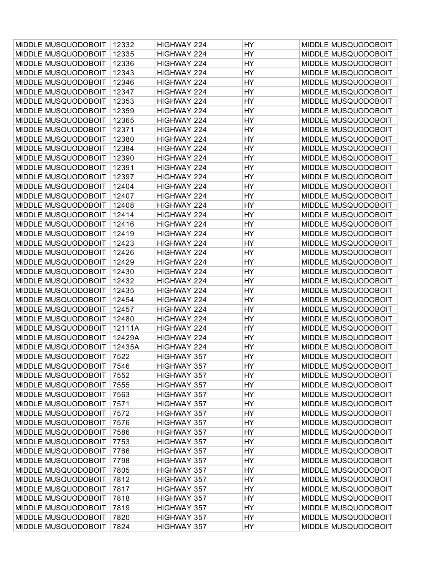| MIDDLE MUSQUODOBOIT                        | 12332  | HIGHWAY 224        | HY        | MIDDLE MUSQUODOBOIT                        |
|--------------------------------------------|--------|--------------------|-----------|--------------------------------------------|
| MIDDLE MUSQUODOBOIT                        | 12335  | HIGHWAY 224        | HY        | MIDDLE MUSQUODOBOIT                        |
| MIDDLE MUSQUODOBOIT                        | 12336  | HIGHWAY 224        | <b>HY</b> | MIDDLE MUSQUODOBOIT                        |
| MIDDLE MUSQUODOBOIT                        | 12343  | HIGHWAY 224        | HY        | MIDDLE MUSQUODOBOIT                        |
| MIDDLE MUSQUODOBOIT                        | 12346  | HIGHWAY 224        | <b>HY</b> | MIDDLE MUSQUODOBOIT                        |
| MIDDLE MUSQUODOBOIT                        | 12347  | HIGHWAY 224        | HY        | MIDDLE MUSQUODOBOIT                        |
| MIDDLE MUSQUODOBOIT                        | 12353  | HIGHWAY 224        | HY        | MIDDLE MUSQUODOBOIT                        |
| MIDDLE MUSQUODOBOIT                        | 12359  | HIGHWAY 224        | HY        | MIDDLE MUSQUODOBOIT                        |
| MIDDLE MUSQUODOBOIT                        | 12365  | HIGHWAY 224        | <b>HY</b> | MIDDLE MUSQUODOBOIT                        |
| MIDDLE MUSQUODOBOIT                        | 12371  | HIGHWAY 224        | HY        | MIDDLE MUSQUODOBOIT                        |
| MIDDLE MUSQUODOBOIT                        | 12380  | HIGHWAY 224        | HY        | MIDDLE MUSQUODOBOIT                        |
| MIDDLE MUSQUODOBOIT                        | 12384  | HIGHWAY 224        | HY        | MIDDLE MUSQUODOBOIT                        |
| MIDDLE MUSQUODOBOIT                        | 12390  | HIGHWAY 224        | HY        | MIDDLE MUSQUODOBOIT                        |
| MIDDLE MUSQUODOBOIT                        | 12391  | HIGHWAY 224        | <b>HY</b> | MIDDLE MUSQUODOBOIT                        |
| MIDDLE MUSQUODOBOIT                        | 12397  | HIGHWAY 224        | <b>HY</b> | MIDDLE MUSQUODOBOIT                        |
| MIDDLE MUSQUODOBOIT                        | 12404  | HIGHWAY 224        | HY        | MIDDLE MUSQUODOBOIT                        |
| MIDDLE MUSQUODOBOIT                        | 12407  | HIGHWAY 224        | HY        | MIDDLE MUSQUODOBOIT                        |
| MIDDLE MUSQUODOBOIT                        | 12408  | HIGHWAY 224        | HY        | MIDDLE MUSQUODOBOIT                        |
| MIDDLE MUSQUODOBOIT                        | 12414  | HIGHWAY 224        | HY        | MIDDLE MUSQUODOBOIT                        |
| MIDDLE MUSQUODOBOIT                        | 12416  | HIGHWAY 224        | HY        | MIDDLE MUSQUODOBOIT                        |
| MIDDLE MUSQUODOBOIT                        | 12419  | HIGHWAY 224        | <b>HY</b> | MIDDLE MUSQUODOBOIT                        |
| MIDDLE MUSQUODOBOIT                        | 12423  | HIGHWAY 224        | HY        | MIDDLE MUSQUODOBOIT                        |
| MIDDLE MUSQUODOBOIT                        | 12426  | HIGHWAY 224        | HY        | MIDDLE MUSQUODOBOIT                        |
| MIDDLE MUSQUODOBOIT                        | 12429  | HIGHWAY 224        | HY        | MIDDLE MUSQUODOBOIT                        |
| MIDDLE MUSQUODOBOIT                        | 12430  | HIGHWAY 224        | HY        | MIDDLE MUSQUODOBOIT                        |
| MIDDLE MUSQUODOBOIT                        | 12432  | HIGHWAY 224        | HY        | MIDDLE MUSQUODOBOIT                        |
| MIDDLE MUSQUODOBOIT                        | 12435  | HIGHWAY 224        | HY        | MIDDLE MUSQUODOBOIT                        |
| MIDDLE MUSQUODOBOIT                        | 12454  | HIGHWAY 224        | HY        | MIDDLE MUSQUODOBOIT                        |
| MIDDLE MUSQUODOBOIT                        | 12457  | HIGHWAY 224        | HY        | MIDDLE MUSQUODOBOIT                        |
| MIDDLE MUSQUODOBOIT                        | 12480  | HIGHWAY 224        | HY        | MIDDLE MUSQUODOBOIT                        |
| MIDDLE MUSQUODOBOIT                        | 12111A | HIGHWAY 224        | HY        | MIDDLE MUSQUODOBOIT                        |
| MIDDLE MUSQUODOBOIT                        | 12429A | HIGHWAY 224        | HY        | MIDDLE MUSQUODOBOIT                        |
| MIDDLE MUSQUODOBOIT                        | 12435A | HIGHWAY 224        | HY        | MIDDLE MUSQUODOBOIT                        |
| MIDDLE MUSQUODOBOIT                        | 7522   | HIGHWAY 357        | HY        | MIDDLE MUSQUODOBOIT                        |
| MIDDLE MUSQUODOBOIT                        | 7546   | HIGHWAY 357        | <b>HY</b> | MIDDLE MUSQUODOBOIT                        |
| MIDDLE MUSQUODOBOIT                        | 7552   | <b>HIGHWAY 357</b> | HY        | MIDDLE MUSQUODOBOIT                        |
| MIDDLE MUSQUODOBOIT                        | 7555   |                    | <b>HY</b> | MIDDLE MUSQUODOBOIT                        |
|                                            | 7563   | HIGHWAY 357        | HY        | MIDDLE MUSQUODOBOIT                        |
| MIDDLE MUSQUODOBOIT                        |        | HIGHWAY 357        |           |                                            |
| MIDDLE MUSQUODOBOIT<br>MIDDLE MUSQUODOBOIT | 7571   | HIGHWAY 357        | <b>HY</b> | MIDDLE MUSQUODOBOIT<br>MIDDLE MUSQUODOBOIT |
|                                            | 7572   | HIGHWAY 357        | HY        |                                            |
| MIDDLE MUSQUODOBOIT                        | 7576   | HIGHWAY 357        | <b>HY</b> | MIDDLE MUSQUODOBOIT                        |
| MIDDLE MUSQUODOBOIT                        | 7586   | HIGHWAY 357        | <b>HY</b> | MIDDLE MUSQUODOBOIT                        |
| MIDDLE MUSQUODOBOIT                        | 7753   | HIGHWAY 357        | <b>HY</b> | MIDDLE MUSQUODOBOIT                        |
| MIDDLE MUSQUODOBOIT                        | 7766   | HIGHWAY 357        | HY        | MIDDLE MUSQUODOBOIT                        |
| MIDDLE MUSQUODOBOIT                        | 7798   | HIGHWAY 357        | <b>HY</b> | MIDDLE MUSQUODOBOIT                        |
| MIDDLE MUSQUODOBOIT                        | 7805   | HIGHWAY 357        | HY        | MIDDLE MUSQUODOBOIT                        |
| MIDDLE MUSQUODOBOIT                        | 7812   | HIGHWAY 357        | HY        | MIDDLE MUSQUODOBOIT                        |
| MIDDLE MUSQUODOBOIT                        | 7817   | HIGHWAY 357        | <b>HY</b> | MIDDLE MUSQUODOBOIT                        |
| MIDDLE MUSQUODOBOIT                        | 7818   | HIGHWAY 357        | <b>HY</b> | MIDDLE MUSQUODOBOIT                        |
| MIDDLE MUSQUODOBOIT                        | 7819   | HIGHWAY 357        | HY        | MIDDLE MUSQUODOBOIT                        |
| MIDDLE MUSQUODOBOIT                        | 7820   | HIGHWAY 357        | <b>HY</b> | MIDDLE MUSQUODOBOIT                        |
| MIDDLE MUSQUODOBOIT                        | 7824   | HIGHWAY 357        | <b>HY</b> | MIDDLE MUSQUODOBOIT                        |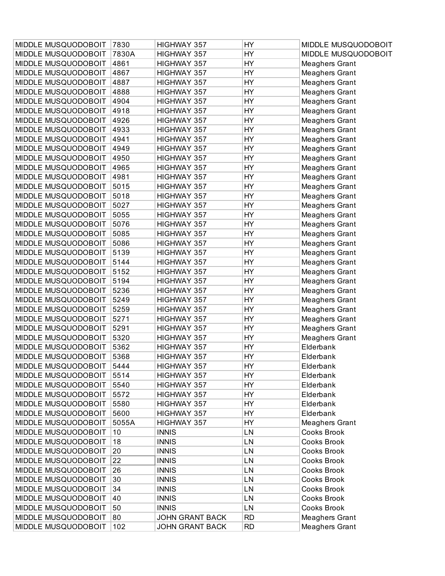| MIDDLE MUSQUODOBOIT | 7830  | HIGHWAY 357            | HY        | MIDDLE MUSQUODOBOIT   |
|---------------------|-------|------------------------|-----------|-----------------------|
| MIDDLE MUSQUODOBOIT | 7830A | HIGHWAY 357            | HY        | MIDDLE MUSQUODOBOIT   |
| MIDDLE MUSQUODOBOIT | 4861  | HIGHWAY 357            | HY        | <b>Meaghers Grant</b> |
| MIDDLE MUSQUODOBOIT | 4867  | HIGHWAY 357            | HY        | <b>Meaghers Grant</b> |
| MIDDLE MUSQUODOBOIT | 4887  | HIGHWAY 357            | HY        | <b>Meaghers Grant</b> |
| MIDDLE MUSQUODOBOIT | 4888  | HIGHWAY 357            | HY        | Meaghers Grant        |
| MIDDLE MUSQUODOBOIT | 4904  | HIGHWAY 357            | HY        | <b>Meaghers Grant</b> |
| MIDDLE MUSQUODOBOIT | 4918  | HIGHWAY 357            | HY        | Meaghers Grant        |
| MIDDLE MUSQUODOBOIT | 4926  | HIGHWAY 357            | HY        | <b>Meaghers Grant</b> |
| MIDDLE MUSQUODOBOIT | 4933  | HIGHWAY 357            | HY        | <b>Meaghers Grant</b> |
| MIDDLE MUSQUODOBOIT | 4941  | HIGHWAY 357            | <b>HY</b> | <b>Meaghers Grant</b> |
| MIDDLE MUSQUODOBOIT | 4949  | HIGHWAY 357            | HY        | Meaghers Grant        |
| MIDDLE MUSQUODOBOIT | 4950  | HIGHWAY 357            | HY        | <b>Meaghers Grant</b> |
| MIDDLE MUSQUODOBOIT | 4965  | HIGHWAY 357            | HY        | <b>Meaghers Grant</b> |
| MIDDLE MUSQUODOBOIT | 4981  | HIGHWAY 357            | HY        | <b>Meaghers Grant</b> |
| MIDDLE MUSQUODOBOIT | 5015  | HIGHWAY 357            | HY        | <b>Meaghers Grant</b> |
| MIDDLE MUSQUODOBOIT | 5018  | HIGHWAY 357            | <b>HY</b> | <b>Meaghers Grant</b> |
| MIDDLE MUSQUODOBOIT | 5027  | HIGHWAY 357            | HY        | <b>Meaghers Grant</b> |
| MIDDLE MUSQUODOBOIT | 5055  | HIGHWAY 357            | HY        | <b>Meaghers Grant</b> |
| MIDDLE MUSQUODOBOIT | 5076  | HIGHWAY 357            | HY        | <b>Meaghers Grant</b> |
| MIDDLE MUSQUODOBOIT | 5085  | HIGHWAY 357            | HY        | <b>Meaghers Grant</b> |
| MIDDLE MUSQUODOBOIT | 5086  | HIGHWAY 357            | HY        | <b>Meaghers Grant</b> |
| MIDDLE MUSQUODOBOIT | 5139  | HIGHWAY 357            | HY        | <b>Meaghers Grant</b> |
| MIDDLE MUSQUODOBOIT | 5144  | HIGHWAY 357            | HY        | <b>Meaghers Grant</b> |
| MIDDLE MUSQUODOBOIT | 5152  | HIGHWAY 357            | HY        | <b>Meaghers Grant</b> |
| MIDDLE MUSQUODOBOIT | 5194  | HIGHWAY 357            | HY        | <b>Meaghers Grant</b> |
| MIDDLE MUSQUODOBOIT | 5236  | HIGHWAY 357            | HY        | <b>Meaghers Grant</b> |
| MIDDLE MUSQUODOBOIT | 5249  | HIGHWAY 357            | HY        | <b>Meaghers Grant</b> |
| MIDDLE MUSQUODOBOIT | 5259  | HIGHWAY 357            | HY        | <b>Meaghers Grant</b> |
| MIDDLE MUSQUODOBOIT | 5271  | HIGHWAY 357            | HY        | <b>Meaghers Grant</b> |
| MIDDLE MUSQUODOBOIT | 5291  | HIGHWAY 357            | HY        | <b>Meaghers Grant</b> |
| MIDDLE MUSQUODOBOIT | 5320  | HIGHWAY 357            | HY        | Meaghers Grant        |
| MIDDLE MUSQUODOBOIT | 5362  | HIGHWAY 357            | HY        | Elderbank             |
| MIDDLE MUSQUODOBOIT | 5368  | HIGHWAY 357            | HY        | Elderbank             |
| MIDDLE MUSQUODOBOIT | 5444  | HIGHWAY 357            | <b>HY</b> | Elderbank             |
| MIDDLE MUSQUODOBOIT | 5514  | HIGHWAY 357            | HY        | Elderbank             |
| MIDDLE MUSQUODOBOIT | 5540  | HIGHWAY 357            | HY        | Elderbank             |
| MIDDLE MUSQUODOBOIT | 5572  | HIGHWAY 357            | HY        | Elderbank             |
| MIDDLE MUSQUODOBOIT | 5580  | HIGHWAY 357            | <b>HY</b> | Elderbank             |
| MIDDLE MUSQUODOBOIT | 5600  | HIGHWAY 357            | HY        | Elderbank             |
| MIDDLE MUSQUODOBOIT | 5055A | HIGHWAY 357            | HY        | <b>Meaghers Grant</b> |
| MIDDLE MUSQUODOBOIT | 10    | <b>INNIS</b>           | LN        | Cooks Brook           |
| MIDDLE MUSQUODOBOIT | 18    | <b>INNIS</b>           | LN        | Cooks Brook           |
| MIDDLE MUSQUODOBOIT | 20    | <b>INNIS</b>           | LN        | Cooks Brook           |
|                     |       |                        |           |                       |
| MIDDLE MUSQUODOBOIT | 22    | <b>INNIS</b>           | LN        | Cooks Brook           |
| MIDDLE MUSQUODOBOIT | 26    | <b>INNIS</b>           | LN        | Cooks Brook           |
| MIDDLE MUSQUODOBOIT | 30    | <b>INNIS</b>           | LN        | Cooks Brook           |
| MIDDLE MUSQUODOBOIT | 34    | <b>INNIS</b>           | LN        | Cooks Brook           |
| MIDDLE MUSQUODOBOIT | 40    | <b>INNIS</b>           | LN        | Cooks Brook           |
| MIDDLE MUSQUODOBOIT | 50    | <b>INNIS</b>           | LN        | Cooks Brook           |
| MIDDLE MUSQUODOBOIT | 80    | <b>JOHN GRANT BACK</b> | <b>RD</b> | <b>Meaghers Grant</b> |
| MIDDLE MUSQUODOBOIT | 102   | <b>JOHN GRANT BACK</b> | <b>RD</b> | <b>Meaghers Grant</b> |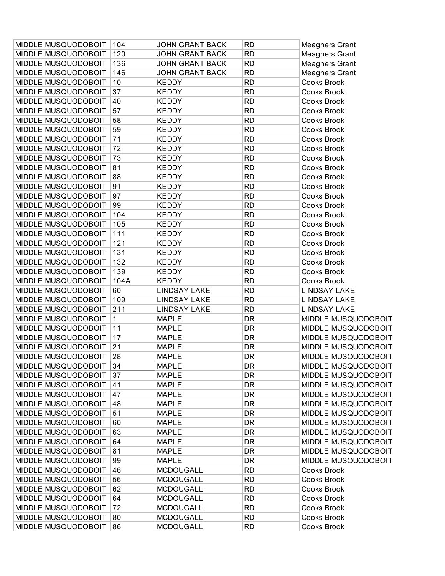| MIDDLE MUSQUODOBOIT    | 104  | <b>JOHN GRANT BACK</b> | <b>RD</b>  | <b>Meaghers Grant</b>      |
|------------------------|------|------------------------|------------|----------------------------|
| MIDDLE MUSQUODOBOIT    | 120  | <b>JOHN GRANT BACK</b> | <b>RD</b>  | <b>Meaghers Grant</b>      |
| MIDDLE MUSQUODOBOIT    | 136  | <b>JOHN GRANT BACK</b> | <b>RD</b>  | <b>Meaghers Grant</b>      |
| MIDDLE MUSQUODOBOIT    | 146  | <b>JOHN GRANT BACK</b> | <b>RD</b>  | <b>Meaghers Grant</b>      |
| MIDDLE MUSQUODOBOIT    | 10   | <b>KEDDY</b>           | <b>RD</b>  | <b>Cooks Brook</b>         |
| MIDDLE MUSQUODOBOIT    | 37   | <b>KEDDY</b>           | <b>RD</b>  | Cooks Brook                |
| MIDDLE MUSQUODOBOIT    | 40   | <b>KEDDY</b>           | <b>RD</b>  | Cooks Brook                |
| MIDDLE MUSQUODOBOIT    | 57   | <b>KEDDY</b>           | <b>RD</b>  | <b>Cooks Brook</b>         |
| MIDDLE MUSQUODOBOIT    | 58   | <b>KEDDY</b>           | <b>RD</b>  | Cooks Brook                |
| MIDDLE MUSQUODOBOIT    | 59   | <b>KEDDY</b>           | <b>RD</b>  | Cooks Brook                |
| MIDDLE MUSQUODOBOIT    | 71   | <b>KEDDY</b>           | <b>RD</b>  | <b>Cooks Brook</b>         |
| MIDDLE MUSQUODOBOIT    | 72   | <b>KEDDY</b>           | <b>RD</b>  | Cooks Brook                |
| MIDDLE MUSQUODOBOIT    | 73   | <b>KEDDY</b>           | <b>RD</b>  | Cooks Brook                |
| MIDDLE MUSQUODOBOIT    | 81   | <b>KEDDY</b>           | <b>RD</b>  | Cooks Brook                |
| MIDDLE MUSQUODOBOIT    | 88   | <b>KEDDY</b>           | <b>RD</b>  | Cooks Brook                |
| MIDDLE MUSQUODOBOIT    | 91   | <b>KEDDY</b>           | <b>RD</b>  | Cooks Brook                |
| MIDDLE MUSQUODOBOIT    | 97   | <b>KEDDY</b>           | <b>RD</b>  | <b>Cooks Brook</b>         |
| MIDDLE MUSQUODOBOIT    | 99   | <b>KEDDY</b>           | <b>RD</b>  | Cooks Brook                |
| MIDDLE MUSQUODOBOIT    | 104  | <b>KEDDY</b>           | <b>RD</b>  | Cooks Brook                |
| MIDDLE MUSQUODOBOIT    | 105  | <b>KEDDY</b>           | <b>RD</b>  | Cooks Brook                |
|                        |      | <b>KEDDY</b>           |            |                            |
| MIDDLE MUSQUODOBOIT    | 111  |                        | <b>RD</b>  | Cooks Brook                |
| MIDDLE MUSQUODOBOIT    | 121  | <b>KEDDY</b>           | <b>RD</b>  | Cooks Brook                |
| MIDDLE MUSQUODOBOIT    | 131  | <b>KEDDY</b>           | <b>RD</b>  | <b>Cooks Brook</b>         |
| MIDDLE MUSQUODOBOIT    | 132  | <b>KEDDY</b>           | <b>RD</b>  | Cooks Brook                |
| MIDDLE MUSQUODOBOIT    | 139  | <b>KEDDY</b>           | <b>RD</b>  | Cooks Brook                |
| MIDDLE MUSQUODOBOIT    | 104A | <b>KEDDY</b>           | <b>RD</b>  | Cooks Brook                |
| MIDDLE MUSQUODOBOIT    | 60   | <b>LINDSAY LAKE</b>    | <b>RD</b>  | <b>LINDSAY LAKE</b>        |
| MIDDLE MUSQUODOBOIT    | 109  | <b>LINDSAY LAKE</b>    | <b>RD</b>  | <b>LINDSAY LAKE</b>        |
| MIDDLE MUSQUODOBOIT    | 211  | <b>LINDSAY LAKE</b>    | <b>RD</b>  | <b>LINDSAY LAKE</b>        |
| MIDDLE MUSQUODOBOIT    | 1    | <b>MAPLE</b>           | DR         | MIDDLE MUSQUODOBOIT        |
| MIDDLE MUSQUODOBOIT    | 11   | <b>MAPLE</b>           | DR         | MIDDLE MUSQUODOBOIT        |
| MIDDLE MUSQUODOBOIT    | 17   | <b>MAPLE</b>           | DR         | MIDDLE MUSQUODOBOIT        |
| MIDDLE MUSQUODOBOIT    | 21   | <b>MAPLE</b>           | DR         | MIDDLE MUSQUODOBOIT        |
| MIDDLE MUSQUODOBOIT    | 28   | <b>MAPLE</b>           | DR         | MIDDLE MUSQUODOBOIT        |
| MIDDLE MUSQUODOBOIT 34 |      | MAPLE                  | ${\sf DR}$ | MIDDLE MUSQUODOBOIT        |
| MIDDLE MUSQUODOBOIT    | 37   | MAPLE                  | DR         | <b>MIDDLE MUSQUODOBOIT</b> |
| MIDDLE MUSQUODOBOIT    | 41   | <b>MAPLE</b>           | DR         | <b>MIDDLE MUSQUODOBOIT</b> |
| MIDDLE MUSQUODOBOIT    | 47   | <b>MAPLE</b>           | DR         | MIDDLE MUSQUODOBOIT        |
| MIDDLE MUSQUODOBOIT    | 48   | <b>MAPLE</b>           | DR         | MIDDLE MUSQUODOBOIT        |
| MIDDLE MUSQUODOBOIT    | 51   | <b>MAPLE</b>           | DR         | MIDDLE MUSQUODOBOIT        |
| MIDDLE MUSQUODOBOIT    | 60   | <b>MAPLE</b>           | DR         | MIDDLE MUSQUODOBOIT        |
| MIDDLE MUSQUODOBOIT    | 63   | <b>MAPLE</b>           | DR         | MIDDLE MUSQUODOBOIT        |
| MIDDLE MUSQUODOBOIT    | 64   | <b>MAPLE</b>           | DR         | <b>MIDDLE MUSQUODOBOIT</b> |
| MIDDLE MUSQUODOBOIT    | 81   | <b>MAPLE</b>           | DR         | MIDDLE MUSQUODOBOIT        |
| MIDDLE MUSQUODOBOIT    | 99   | <b>MAPLE</b>           | DR         | MIDDLE MUSQUODOBOIT        |
| MIDDLE MUSQUODOBOIT    | 46   | <b>MCDOUGALL</b>       | <b>RD</b>  | Cooks Brook                |
| MIDDLE MUSQUODOBOIT    | 56   | <b>MCDOUGALL</b>       | <b>RD</b>  | Cooks Brook                |
| MIDDLE MUSQUODOBOIT    | 62   | <b>MCDOUGALL</b>       | <b>RD</b>  | Cooks Brook                |
| MIDDLE MUSQUODOBOIT    | 64   | <b>MCDOUGALL</b>       | <b>RD</b>  | Cooks Brook                |
| MIDDLE MUSQUODOBOIT    | 72   | <b>MCDOUGALL</b>       | <b>RD</b>  | Cooks Brook                |
| MIDDLE MUSQUODOBOIT    | 80   | <b>MCDOUGALL</b>       | <b>RD</b>  | Cooks Brook                |
| MIDDLE MUSQUODOBOIT    | 86   | <b>MCDOUGALL</b>       | <b>RD</b>  | Cooks Brook                |
|                        |      |                        |            |                            |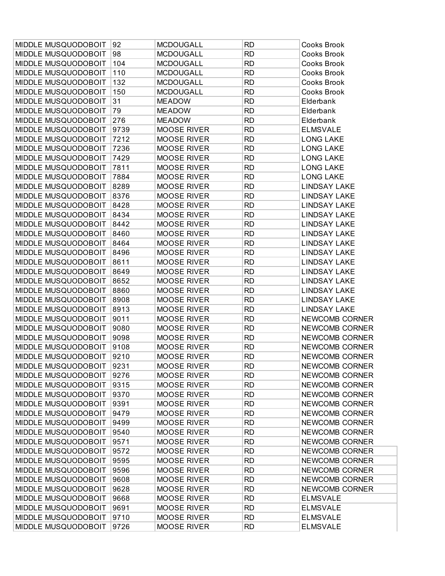| MIDDLE MUSQUODOBOIT        | 92   | <b>MCDOUGALL</b>   | <b>RD</b> | Cooks Brook           |
|----------------------------|------|--------------------|-----------|-----------------------|
| MIDDLE MUSQUODOBOIT        | 98   | <b>MCDOUGALL</b>   | <b>RD</b> | Cooks Brook           |
| MIDDLE MUSQUODOBOIT        | 104  | <b>MCDOUGALL</b>   | <b>RD</b> | Cooks Brook           |
| MIDDLE MUSQUODOBOIT        | 110  | <b>MCDOUGALL</b>   | <b>RD</b> | Cooks Brook           |
| MIDDLE MUSQUODOBOIT        | 132  | <b>MCDOUGALL</b>   | <b>RD</b> | Cooks Brook           |
| MIDDLE MUSQUODOBOIT        | 150  | <b>MCDOUGALL</b>   | <b>RD</b> | Cooks Brook           |
| MIDDLE MUSQUODOBOIT        | 31   | <b>MEADOW</b>      | <b>RD</b> | Elderbank             |
| MIDDLE MUSQUODOBOIT        | 79   | <b>MEADOW</b>      | <b>RD</b> | Elderbank             |
| MIDDLE MUSQUODOBOIT        | 276  | <b>MEADOW</b>      | <b>RD</b> | Elderbank             |
| MIDDLE MUSQUODOBOIT        | 9739 | <b>MOOSE RIVER</b> | <b>RD</b> | <b>ELMSVALE</b>       |
| MIDDLE MUSQUODOBOIT        | 7212 | <b>MOOSE RIVER</b> | <b>RD</b> | <b>LONG LAKE</b>      |
| MIDDLE MUSQUODOBOIT        | 7236 | <b>MOOSE RIVER</b> | <b>RD</b> | <b>LONG LAKE</b>      |
| MIDDLE MUSQUODOBOIT        | 7429 | <b>MOOSE RIVER</b> | <b>RD</b> | <b>LONG LAKE</b>      |
| MIDDLE MUSQUODOBOIT        | 7811 | <b>MOOSE RIVER</b> | <b>RD</b> | <b>LONG LAKE</b>      |
| MIDDLE MUSQUODOBOIT        | 7884 | <b>MOOSE RIVER</b> | <b>RD</b> | <b>LONG LAKE</b>      |
| MIDDLE MUSQUODOBOIT        | 8289 | <b>MOOSE RIVER</b> | <b>RD</b> | <b>LINDSAY LAKE</b>   |
| MIDDLE MUSQUODOBOIT        | 8376 | <b>MOOSE RIVER</b> | <b>RD</b> | <b>LINDSAY LAKE</b>   |
| MIDDLE MUSQUODOBOIT        | 8428 | <b>MOOSE RIVER</b> | <b>RD</b> | <b>LINDSAY LAKE</b>   |
| MIDDLE MUSQUODOBOIT        | 8434 | <b>MOOSE RIVER</b> | <b>RD</b> | <b>LINDSAY LAKE</b>   |
| MIDDLE MUSQUODOBOIT        | 8442 | <b>MOOSE RIVER</b> | <b>RD</b> | <b>LINDSAY LAKE</b>   |
| MIDDLE MUSQUODOBOIT        | 8460 | <b>MOOSE RIVER</b> | <b>RD</b> | <b>LINDSAY LAKE</b>   |
| MIDDLE MUSQUODOBOIT        | 8464 | <b>MOOSE RIVER</b> | <b>RD</b> | <b>LINDSAY LAKE</b>   |
| MIDDLE MUSQUODOBOIT        | 8496 | <b>MOOSE RIVER</b> | <b>RD</b> | <b>LINDSAY LAKE</b>   |
| MIDDLE MUSQUODOBOIT        | 8611 | <b>MOOSE RIVER</b> | <b>RD</b> | <b>LINDSAY LAKE</b>   |
| MIDDLE MUSQUODOBOIT        | 8649 | <b>MOOSE RIVER</b> | <b>RD</b> | LINDSAY LAKE          |
| MIDDLE MUSQUODOBOIT        | 8652 | <b>MOOSE RIVER</b> | <b>RD</b> | <b>LINDSAY LAKE</b>   |
| MIDDLE MUSQUODOBOIT        | 8860 | <b>MOOSE RIVER</b> | <b>RD</b> | <b>LINDSAY LAKE</b>   |
| MIDDLE MUSQUODOBOIT        | 8908 | <b>MOOSE RIVER</b> | <b>RD</b> | <b>LINDSAY LAKE</b>   |
| MIDDLE MUSQUODOBOIT        | 8913 | <b>MOOSE RIVER</b> | <b>RD</b> | <b>LINDSAY LAKE</b>   |
| MIDDLE MUSQUODOBOIT        | 9011 | <b>MOOSE RIVER</b> | <b>RD</b> | NEWCOMB CORNER        |
| MIDDLE MUSQUODOBOIT        | 9080 | <b>MOOSE RIVER</b> | <b>RD</b> | NEWCOMB CORNER        |
| MIDDLE MUSQUODOBOIT        | 9098 | <b>MOOSE RIVER</b> | <b>RD</b> | NEWCOMB CORNER        |
| MIDDLE MUSQUODOBOIT        | 9108 | MOOSE RIVER        | <b>RD</b> | NEWCOMB CORNER        |
| MIDDLE MUSQUODOBOIT        | 9210 | <b>MOOSE RIVER</b> | <b>RD</b> | <b>NEWCOMB CORNER</b> |
| MIDDLE MUSQUODOBOIT   9231 |      | <b>MOOSE RIVER</b> | RD        | NEWCOMB CORNER        |
| MIDDLE MUSQUODOBOIT        | 9276 | <b>MOOSE RIVER</b> | <b>RD</b> | NEWCOMB CORNER        |
| MIDDLE MUSQUODOBOIT        | 9315 | <b>MOOSE RIVER</b> | <b>RD</b> | NEWCOMB CORNER        |
| MIDDLE MUSQUODOBOIT        | 9370 | <b>MOOSE RIVER</b> | <b>RD</b> | NEWCOMB CORNER        |
| MIDDLE MUSQUODOBOIT        | 9391 | <b>MOOSE RIVER</b> | <b>RD</b> | NEWCOMB CORNER        |
| MIDDLE MUSQUODOBOIT        | 9479 | <b>MOOSE RIVER</b> | <b>RD</b> | <b>NEWCOMB CORNER</b> |
| MIDDLE MUSQUODOBOIT        | 9499 | <b>MOOSE RIVER</b> | <b>RD</b> | NEWCOMB CORNER        |
| MIDDLE MUSQUODOBOIT        | 9540 | <b>MOOSE RIVER</b> | <b>RD</b> | <b>NEWCOMB CORNER</b> |
| MIDDLE MUSQUODOBOIT        | 9571 | <b>MOOSE RIVER</b> | <b>RD</b> | NEWCOMB CORNER        |
| MIDDLE MUSQUODOBOIT        | 9572 | <b>MOOSE RIVER</b> | <b>RD</b> | <b>NEWCOMB CORNER</b> |
| MIDDLE MUSQUODOBOIT        | 9595 | <b>MOOSE RIVER</b> | <b>RD</b> | NEWCOMB CORNER        |
| MIDDLE MUSQUODOBOIT        | 9596 | <b>MOOSE RIVER</b> | <b>RD</b> | NEWCOMB CORNER        |
| MIDDLE MUSQUODOBOIT        | 9608 | <b>MOOSE RIVER</b> | <b>RD</b> | NEWCOMB CORNER        |
| MIDDLE MUSQUODOBOIT        | 9628 | <b>MOOSE RIVER</b> | <b>RD</b> | NEWCOMB CORNER        |
| MIDDLE MUSQUODOBOIT        | 9668 | <b>MOOSE RIVER</b> | <b>RD</b> | <b>ELMSVALE</b>       |
| MIDDLE MUSQUODOBOIT        | 9691 | MOOSE RIVER        | <b>RD</b> | <b>ELMSVALE</b>       |
| MIDDLE MUSQUODOBOIT        | 9710 | MOOSE RIVER        | <b>RD</b> | <b>ELMSVALE</b>       |
| MIDDLE MUSQUODOBOIT        | 9726 | <b>MOOSE RIVER</b> | <b>RD</b> | <b>ELMSVALE</b>       |
|                            |      |                    |           |                       |